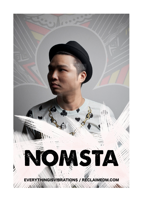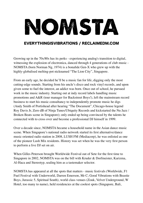## NOMSTA

## EVERYTHINGISVIBRATIONS / RECLAIMEDM.COM

Growing up in the 70s/80s has its perks - experiencing analog's transition to digital, witnessing the explosion of electronica, danced through 4 generations of club music - NOMSTA (born Norman Ng, 1974) is a bonafide Gen-X who grew up with the highly-globalised melting-pot nicknamed "The Lion City", Singapore.

From an early age, he decided he'll be a music fan for life, digging only the most cutting-edge sounds. Starting from his uncle's disco and rock vinyl records, and upon given some to fuel the interest, an addict was born. Once out of school, he pursued work in the music industry. Starting out at indy record labels handling music promotions and A&R (tour manager for Backstreet Boys!), left the mainstream record business to start his music consultancy to independently promote music he digs (Andy Smith of Portishead after hearing "The Document", Chicago-house legend Roy Davis Jr, Zero dB of Ninja Tunes/Ubiquity Records and kickstarted the Nu Jazz / Broken Beats scene in Singapore); only ended up being convinced by the talents he connected with to cross over and become a professional DJ himself in 1999.

Over a decade since, NOMSTA became a household name in the Asian dance music scene. When Singapore's national radio network started its first alternative/dance music oriented radio station in 2008, LUSH FM (Mediacorp), he was enlisted as one of the pioneer Lush Mix residents. History was set when he was the very first person to perform a live DJ set on air.

When Gilles Peterson brought Worldwide Festival out of Sete for the first time to Singapore in 2002, NOMSTA was on the bill with Kruder & Dorfmeister, Karizma, Al-Haca and Stereotyp, sealing him as a tastemaker selector.

NOMSTA has appeared at all the spots that matters - music festivals (Worldwide, F1 Fuel Festival with Underworld, Darren Emerson, Mr C; Good Vibrations with Beastie Boys, Jurassic 5, Spiritual South), world class venues (Zouk, Velvet Underground, W Hotel, too many to name), held residencies at the coolest spots (Singapore, Bali,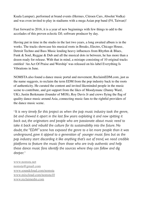Kuala Lumpur), performed at brand events (Hermes, Citroen Cars, Absolut Vodka) and was even invited to play in stadiums with a mega Asian pop band (F4, Taiwan)!

Fast forward to 2016, it is a year of new beginnings with few things to add to the accolades of this proven eclectic DJ; software producer by day.

Having put in time in the studio in the last two years, a long awaited album is in the works. The tracks showcase his musical roots in Breaks, Electro, Chicago House, Detroit Techno and Bass Music lending heavy influences from Rhythm & Blues, Funk & Soul, Reggae & Dub and all the musical dots in between, he has more than a dozen ready for release. With that in mind, a mixtape consisting of 10 original tracks entitled 'An Act Of Praise and Worship' was released on his label Everything Is Vibrations in June.

NOMSTA also found a dance music portal and movement, ReclaimEDM.com, just as the name suggests, to reclaim the term EDM from the pop industry back to the roots of authenticity. He curated the content and invited likeminded people in the music scene to contribute, and got support from the likes of Moodymanc (Danny Ward, UK), Justin Berkmann (founder of MOS), Roy Davis Jr and crews flying the flag of quality dance music around Asia, connecting music fans to the rightful providers of the dance music scene.

"*It is very timely for this project as when the pop music industry took the genre,*  bit and chewed it apart in the last few years exploiting it and now spitting it *back out, the originators and people who are passionate about music need to take it back and rebuild the culture for its sustainability into the future. No doubt, the "EDM" scene has exposed the genre to a lot more people than it was underground, gave it appeal to a generation of younger music fans but as the pop industry start discarding it like anything that's out of trend, we need credible platforms to feature the music from those who are truly authentic and help these dance music fans identify the sources where they can follow and dig deeper.*"

[www.nomsta.net](http://www.nomsta.net) [nomsta@gmail.com](mailto:nomsta@gmail.com) [www.soundcloud.com/nomsta](http://www.soundcloud.com/nomsta) [www.mixcloud.com/nomsta10](http://www.mixcloud.com/nomsta10) [www.reclaimedm.com](http://www.reclaimedm.com)